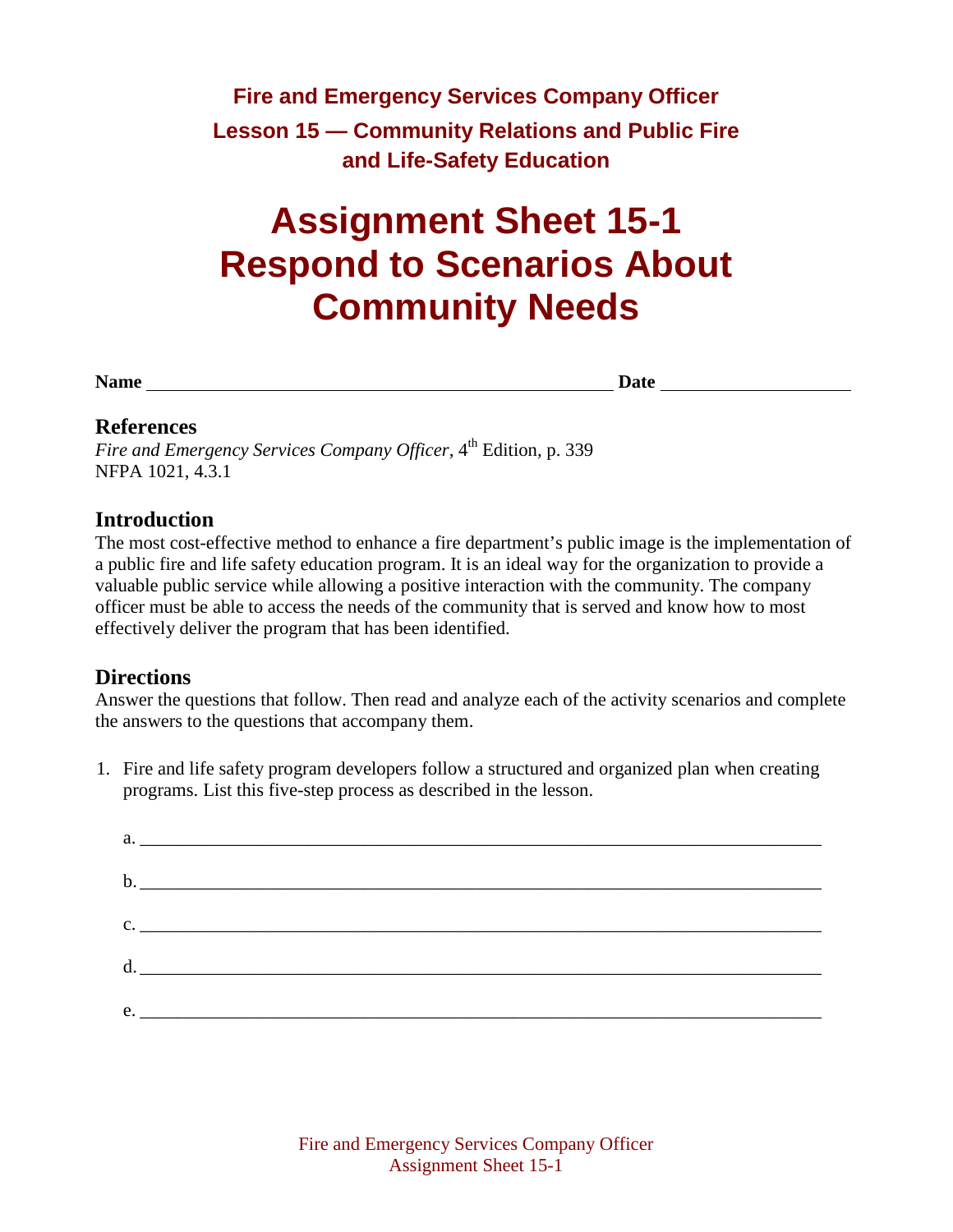## **Fire and Emergency Services Company Officer Lesson 15 — Community Relations and Public Fire and Life-Safety Education**

# **Assignment Sheet 15-1 Respond to Scenarios About Community Needs**

**Name Date**

#### **References**

*Fire and Emergency Services Company Officer,* 4<sup>th</sup> Edition, p. 339 NFPA 1021, 4.3.1

#### **Introduction**

The most cost-effective method to enhance a fire department's public image is the implementation of a public fire and life safety education program. It is an ideal way for the organization to provide a valuable public service while allowing a positive interaction with the community. The company officer must be able to access the needs of the community that is served and know how to most effectively deliver the program that has been identified.

#### **Directions**

Answer the questions that follow. Then read and analyze each of the activity scenarios and complete the answers to the questions that accompany them.

1. Fire and life safety program developers follow a structured and organized plan when creating programs. List this five-step process as described in the lesson.

| c. |
|----|
|    |
|    |
| e. |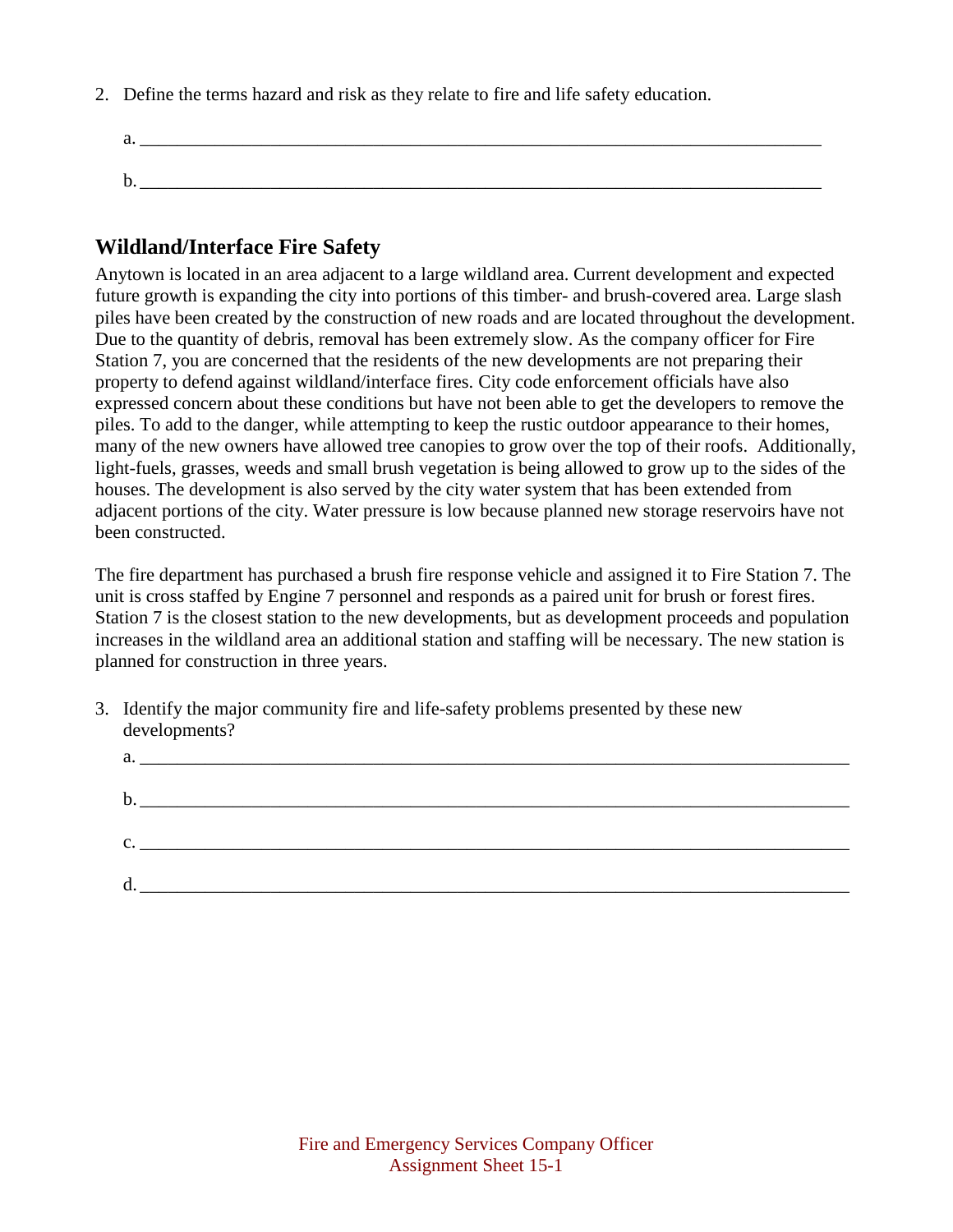2. Define the terms hazard and risk as they relate to fire and life safety education.

a.  $\frac{1}{2}$  . The same set of  $\frac{1}{2}$  is the same set of  $\frac{1}{2}$  is the same set of  $\frac{1}{2}$  is the same set of  $\frac{1}{2}$  is the same set of  $\frac{1}{2}$  is the same set of  $\frac{1}{2}$  is the same set of  $\frac{1}{2}$  is the  $\mathbf b$ .

#### **Wildland/Interface Fire Safety**

Anytown is located in an area adjacent to a large wildland area. Current development and expected future growth is expanding the city into portions of this timber- and brush-covered area. Large slash piles have been created by the construction of new roads and are located throughout the development. Due to the quantity of debris, removal has been extremely slow. As the company officer for Fire Station 7, you are concerned that the residents of the new developments are not preparing their property to defend against wildland/interface fires. City code enforcement officials have also expressed concern about these conditions but have not been able to get the developers to remove the piles. To add to the danger, while attempting to keep the rustic outdoor appearance to their homes, many of the new owners have allowed tree canopies to grow over the top of their roofs. Additionally, light-fuels, grasses, weeds and small brush vegetation is being allowed to grow up to the sides of the houses. The development is also served by the city water system that has been extended from adjacent portions of the city. Water pressure is low because planned new storage reservoirs have not been constructed.

The fire department has purchased a brush fire response vehicle and assigned it to Fire Station 7. The unit is cross staffed by Engine 7 personnel and responds as a paired unit for brush or forest fires. Station 7 is the closest station to the new developments, but as development proceeds and population increases in the wildland area an additional station and staffing will be necessary. The new station is planned for construction in three years.

3. Identify the major community fire and life-safety problems presented by these new developments?

| a.             | <u> 1980 - Jan Samuel Barbara, margaret ar brezhon eo ar brezhon en an dan da brezhon en an da brezhon e vez an </u> |
|----------------|----------------------------------------------------------------------------------------------------------------------|
|                |                                                                                                                      |
| b.             |                                                                                                                      |
| $\mathbf{c}$ . |                                                                                                                      |
|                |                                                                                                                      |
| d<br>u         |                                                                                                                      |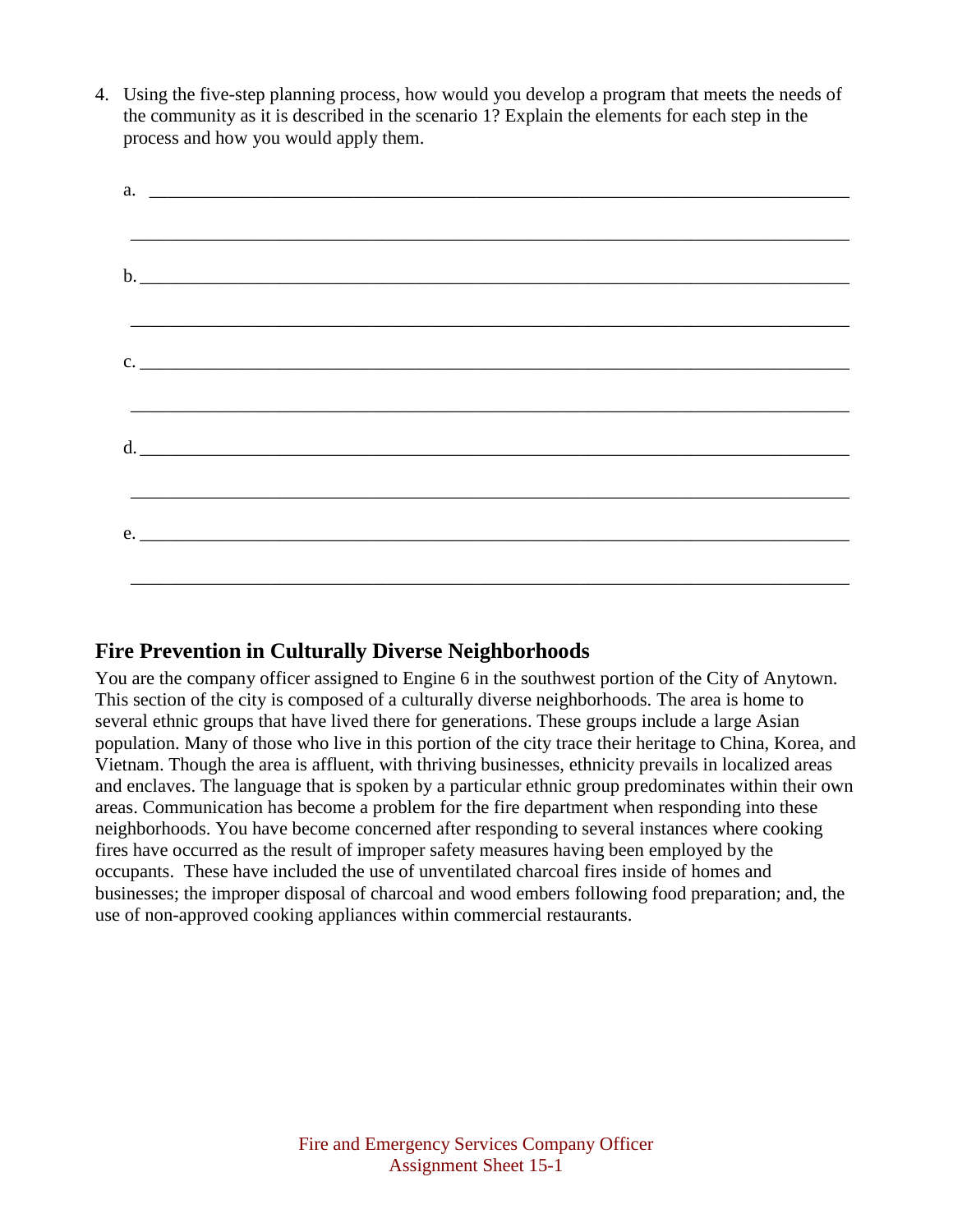4. Using the five-step planning process, how would you develop a program that meets the needs of the community as it is described in the scenario 1? Explain the elements for each step in the process and how you would apply them.

| a. |  |  |  |
|----|--|--|--|
|    |  |  |  |
|    |  |  |  |
|    |  |  |  |
|    |  |  |  |
|    |  |  |  |
| c. |  |  |  |
|    |  |  |  |
|    |  |  |  |
|    |  |  |  |
|    |  |  |  |
|    |  |  |  |
|    |  |  |  |
| e. |  |  |  |
|    |  |  |  |
|    |  |  |  |

### **Fire Prevention in Culturally Diverse Neighborhoods**

You are the company officer assigned to Engine 6 in the southwest portion of the City of Anytown. This section of the city is composed of a culturally diverse neighborhoods. The area is home to several ethnic groups that have lived there for generations. These groups include a large Asian population. Many of those who live in this portion of the city trace their heritage to China, Korea, and Vietnam. Though the area is affluent, with thriving businesses, ethnicity prevails in localized areas and enclaves. The language that is spoken by a particular ethnic group predominates within their own areas. Communication has become a problem for the fire department when responding into these neighborhoods. You have become concerned after responding to several instances where cooking fires have occurred as the result of improper safety measures having been employed by the occupants. These have included the use of unventilated charcoal fires inside of homes and businesses; the improper disposal of charcoal and wood embers following food preparation; and, the use of non-approved cooking appliances within commercial restaurants.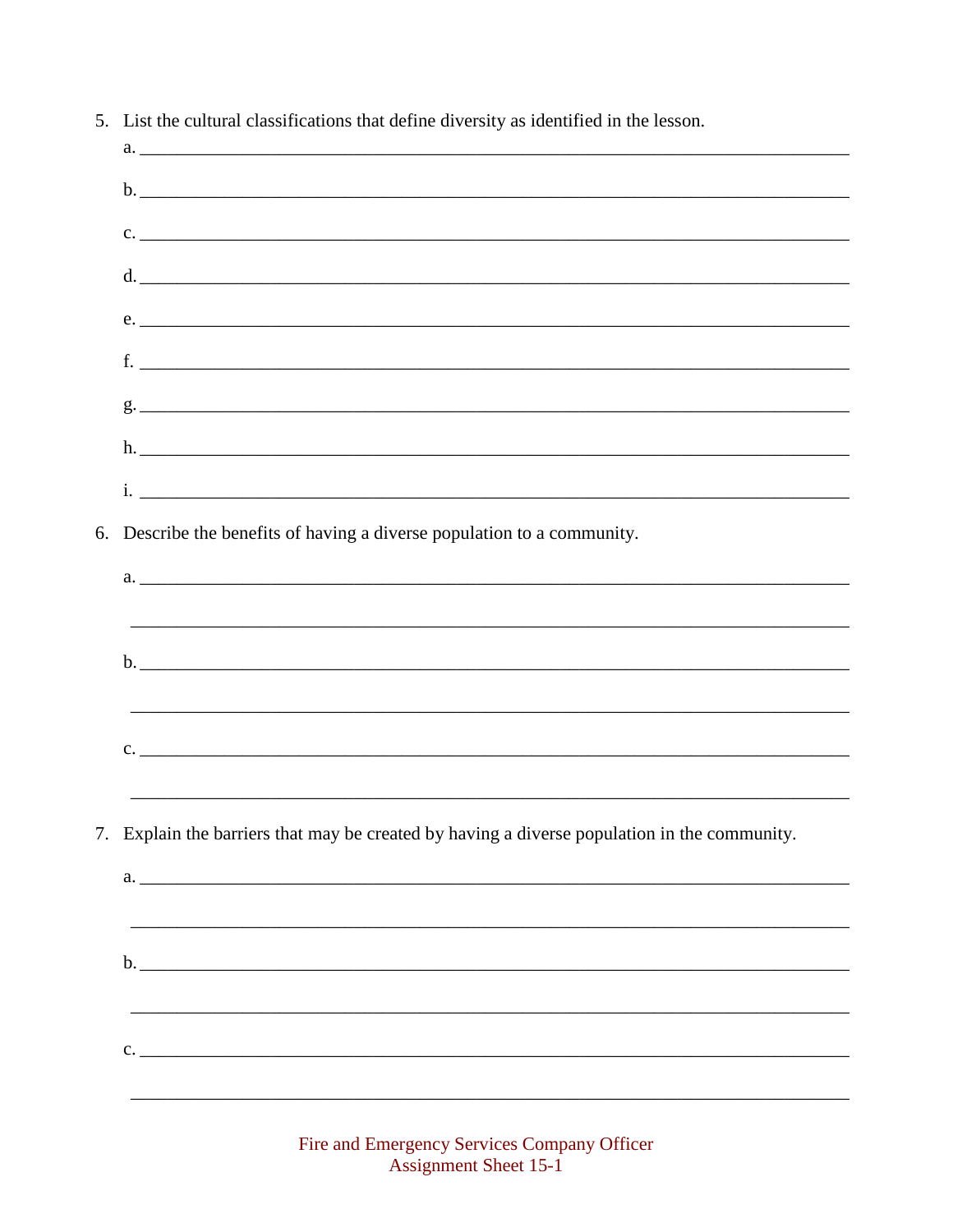| $a.$ $\overline{\phantom{a}}$                                                                |
|----------------------------------------------------------------------------------------------|
|                                                                                              |
| $c.$ $\overline{\phantom{a}}$                                                                |
| d.                                                                                           |
| e.                                                                                           |
| $f.$ $\overline{\phantom{a}}$                                                                |
|                                                                                              |
|                                                                                              |
|                                                                                              |
| 6. Describe the benefits of having a diverse population to a community.                      |
|                                                                                              |
|                                                                                              |
|                                                                                              |
|                                                                                              |
| c.                                                                                           |
|                                                                                              |
| 7. Explain the barriers that may be created by having a diverse population in the community. |
|                                                                                              |
|                                                                                              |
|                                                                                              |
|                                                                                              |
| $c.$ $\overline{\phantom{a}}$                                                                |
|                                                                                              |
|                                                                                              |

5. List the cultural classifications that define diversity as identified in the lesson.